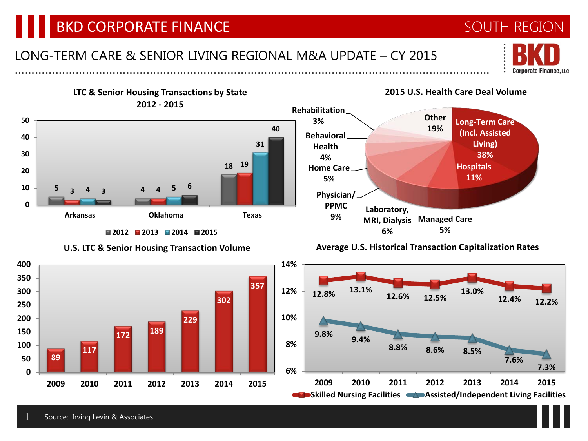# BKD CORPORATE FINANCE AND REGION SOUTH REGION

### LONG-TERM CARE & SENIOR LIVING REGIONAL M&A UPDATE – CY 2015 ……………………………………………………………………………………………………………………………

**LTC & Senior Housing Transactions by State 2012 - 2015 Long-Term Care (Incl. Assisted Rehabilitation 3% Other 19%**





**U.S. LTC & Senior Housing Transaction Volume**





### ……… **Corporate Finance, LLC**

**2015 U.S. Health Care Deal Volume**

**Living) 38% Hospitals 11%**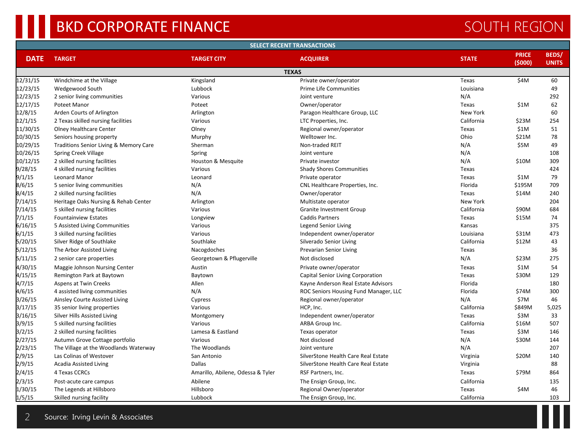# BKD CORPORATE FINANCE SOUTH REGION

| <b>SELECT RECENT TRANSACTIONS</b> |                                        |                                   |                                       |              |                         |                              |  |  |  |  |  |  |
|-----------------------------------|----------------------------------------|-----------------------------------|---------------------------------------|--------------|-------------------------|------------------------------|--|--|--|--|--|--|
| <b>DATE</b>                       | <b>TARGET</b>                          | <b>TARGET CITY</b>                | <b>ACQUIRER</b>                       | <b>STATE</b> | <b>PRICE</b><br>(\$000) | <b>BEDS/</b><br><b>UNITS</b> |  |  |  |  |  |  |
| <b>TEXAS</b>                      |                                        |                                   |                                       |              |                         |                              |  |  |  |  |  |  |
| 12/31/15                          | Windchime at the Village               | Kingsland                         | Private owner/operator                | Texas        | \$4M                    | 60                           |  |  |  |  |  |  |
| 12/23/15                          | Wedgewood South                        | Lubbock                           | <b>Prime Life Communities</b>         | Louisiana    |                         | 49                           |  |  |  |  |  |  |
| 12/23/15                          | 2 senior living communities            | Various                           | Joint venture                         | N/A          |                         | 292                          |  |  |  |  |  |  |
| 12/17/15                          | Poteet Manor                           | Poteet                            | Owner/operator                        | Texas        | \$1M                    | 62                           |  |  |  |  |  |  |
| 12/8/15                           | Arden Courts of Arlington              | Arlington                         | Paragon Healthcare Group, LLC         | New York     |                         | 60                           |  |  |  |  |  |  |
| 12/1/15                           | 2 Texas skilled nursing facilities     | Various                           | LTC Properties, Inc.                  | California   | \$23M                   | 254                          |  |  |  |  |  |  |
| 11/30/15                          | <b>Olney Healthcare Center</b>         | Olney                             | Regional owner/operator               | Texas        | \$1M                    | 51                           |  |  |  |  |  |  |
| 10/30/15                          | Seniors housing property               | Murphy                            | Welltower Inc.                        | Ohio         | \$21M                   | 78                           |  |  |  |  |  |  |
| 10/29/15                          | Traditions Senior Living & Memory Care | Sherman                           | Non-traded REIT                       | N/A          | \$5M                    | 49                           |  |  |  |  |  |  |
| 10/26/15                          | <b>Spring Creek Village</b>            | Spring                            | Joint venture                         | N/A          |                         | 108                          |  |  |  |  |  |  |
| 10/12/15                          | 2 skilled nursing facilities           | Houston & Mesquite                | Private investor                      | N/A          | \$10M                   | 309                          |  |  |  |  |  |  |
| 9/28/15                           | 4 skilled nursing facilities           | Various                           | <b>Shady Shores Communities</b>       | Texas        |                         | 424                          |  |  |  |  |  |  |
| 9/1/15                            | Leonard Manor                          | Leonard                           | Private operator                      | Texas        | \$1M                    | 79                           |  |  |  |  |  |  |
| 8/6/15                            | 5 senior living communities            | N/A                               | CNL Healthcare Properties, Inc.       | Florida      | \$195M                  | 709                          |  |  |  |  |  |  |
| 8/4/15                            | 2 skilled nursing facilities           | N/A                               | Owner/operator                        | Texas        | \$14M                   | 240                          |  |  |  |  |  |  |
| 7/14/15                           | Heritage Oaks Nursing & Rehab Center   | Arlington                         | Multistate operator                   | New York     |                         | 204                          |  |  |  |  |  |  |
| 7/14/15                           | 5 skilled nursing facilities           | Various                           | Granite Investment Group              | California   | \$90M                   | 684                          |  |  |  |  |  |  |
| 7/1/15                            | <b>Fountainview Estates</b>            | Longview                          | <b>Caddis Partners</b>                | Texas        | \$15M                   | 74                           |  |  |  |  |  |  |
| 6/16/15                           | 5 Assisted Living Communities          | Various                           | Legend Senior Living                  | Kansas       |                         | 375                          |  |  |  |  |  |  |
| 6/1/15                            | 3 skilled nursing facilities           | Various                           | Independent owner/operator            | Louisiana    | \$31M                   | 473                          |  |  |  |  |  |  |
| 5/20/15                           | Silver Ridge of Southlake              | Southlake                         | Silverado Senior Living               | California   | \$12M                   | 43                           |  |  |  |  |  |  |
| 5/12/15                           | The Arbor Assisted Living              | Nacogdoches                       | Prevarian Senior Living               | Texas        |                         | 36                           |  |  |  |  |  |  |
| 5/11/15                           | 2 senior care properties               | Georgetown & Pflugerville         | Not disclosed                         | N/A          | \$23M                   | 275                          |  |  |  |  |  |  |
| 4/30/15                           | Maggie Johnson Nursing Center          | Austin                            | Private owner/operator                | Texas        | \$1M                    | 54                           |  |  |  |  |  |  |
| 4/15/15                           | Remington Park at Baytown              | Baytown                           | Capital Senior Living Corporation     | Texas        | \$30M                   | 129                          |  |  |  |  |  |  |
| 4/7/15                            | Aspens at Twin Creeks                  | Allen                             | Kayne Anderson Real Estate Advisors   | Florida      |                         | 180                          |  |  |  |  |  |  |
| 4/6/15                            | 4 assisted living communities          | N/A                               | ROC Seniors Housing Fund Manager, LLC | Florida      | \$74M                   | 300                          |  |  |  |  |  |  |
| 3/26/15                           | Ainsley Courte Assisted Living         | Cypress                           | Regional owner/operator               | N/A          | \$7M                    | 46                           |  |  |  |  |  |  |
| 3/17/15                           | 35 senior living properties            | Various                           | HCP, Inc.                             | California   | \$849M                  | 5,025                        |  |  |  |  |  |  |
| 3/16/15                           | Silver Hills Assisted Living           | Montgomery                        | Independent owner/operator            | Texas        | \$3M                    | 33                           |  |  |  |  |  |  |
| 3/9/15                            | 5 skilled nursing facilities           | Various                           | ARBA Group Inc.                       | California   | \$16M                   | 507                          |  |  |  |  |  |  |
| 3/2/15                            | 2 skilled nursing facilities           | Lamesa & Eastland                 | Texas operator                        | Texas        | \$3M                    | 146                          |  |  |  |  |  |  |
| 2/27/15                           | Autumn Grove Cottage portfolio         | Various                           | Not disclosed                         | N/A          | \$30M                   | 144                          |  |  |  |  |  |  |
| 2/23/15                           | The Village at the Woodlands Waterway  | The Woodlands                     | Joint venture                         | N/A          |                         | 207                          |  |  |  |  |  |  |
| 2/9/15                            | Las Colinas of Westover                | San Antonio                       | SilverStone Health Care Real Estate   | Virginia     | \$20M                   | 140                          |  |  |  |  |  |  |
| 2/9/15                            | <b>Acadia Assisted Living</b>          | <b>Dallas</b>                     | SilverStone Health Care Real Estate   | Virginia     |                         | 88                           |  |  |  |  |  |  |
| 2/4/15                            | 4 Texas CCRCs                          | Amarillo, Abilene, Odessa & Tyler | RSF Partners, Inc.                    | Texas        | \$79M                   | 864                          |  |  |  |  |  |  |
| 2/3/15                            | Post-acute care campus                 | Abilene                           | The Ensign Group, Inc.                | California   |                         | 135                          |  |  |  |  |  |  |
| 1/30/15                           | The Legends at Hillsboro               | Hillsboro                         | Regional Owner/operator               | Texas        | \$4M                    | 46                           |  |  |  |  |  |  |
| 1/5/15                            | Skilled nursing facility               | Lubbock                           | The Ensign Group, Inc.                | California   |                         | 103                          |  |  |  |  |  |  |